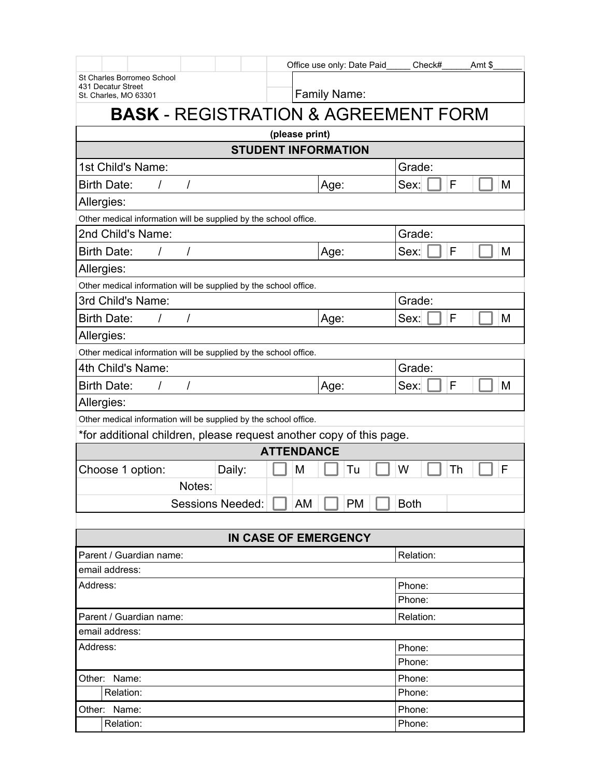|                                                                     | Office use only: Date Paid | Check#<br>Amt \$ |  |  |  |  |  |
|---------------------------------------------------------------------|----------------------------|------------------|--|--|--|--|--|
| St Charles Borromeo School<br>431 Decatur Street                    |                            |                  |  |  |  |  |  |
| St. Charles, MO 63301                                               | Family Name:               |                  |  |  |  |  |  |
| <b>BASK - REGISTRATION &amp; AGREEMENT FORM</b>                     |                            |                  |  |  |  |  |  |
| (please print)                                                      |                            |                  |  |  |  |  |  |
|                                                                     | <b>STUDENT INFORMATION</b> |                  |  |  |  |  |  |
| 1st Child's Name:                                                   |                            | Grade:           |  |  |  |  |  |
| <b>Birth Date:</b><br>$\prime$<br>$\prime$                          | Age:                       | F<br>Sex:<br>M   |  |  |  |  |  |
| Allergies:                                                          |                            |                  |  |  |  |  |  |
| Other medical information will be supplied by the school office.    |                            |                  |  |  |  |  |  |
| 2nd Child's Name:                                                   |                            | Grade:           |  |  |  |  |  |
| <b>Birth Date:</b><br>$\prime$<br>$\prime$                          | Age:                       | F<br>M<br>Sex:   |  |  |  |  |  |
| Allergies:                                                          |                            |                  |  |  |  |  |  |
| Other medical information will be supplied by the school office.    |                            |                  |  |  |  |  |  |
| 3rd Child's Name:                                                   |                            | Grade:           |  |  |  |  |  |
| <b>Birth Date:</b><br>$\prime$<br>$\prime$                          | Age:                       | F<br>Sex:<br>M   |  |  |  |  |  |
| Allergies:                                                          |                            |                  |  |  |  |  |  |
| Other medical information will be supplied by the school office.    |                            |                  |  |  |  |  |  |
| 4th Child's Name:                                                   |                            | Grade:           |  |  |  |  |  |
| <b>Birth Date:</b><br>I<br>$\prime$                                 | Age:                       | F<br>M<br>Sex:   |  |  |  |  |  |
| Allergies:                                                          |                            |                  |  |  |  |  |  |
| Other medical information will be supplied by the school office.    |                            |                  |  |  |  |  |  |
| *for additional children, please request another copy of this page. |                            |                  |  |  |  |  |  |
|                                                                     | <b>ATTENDANCE</b>          |                  |  |  |  |  |  |
| Choose 1 option:<br>Daily:                                          | М<br>Tu                    | W<br>Th<br>F     |  |  |  |  |  |
| Notes:                                                              |                            |                  |  |  |  |  |  |
| <b>Sessions Needed:</b>                                             | PM<br>AM                   | <b>Both</b>      |  |  |  |  |  |
|                                                                     |                            |                  |  |  |  |  |  |
| <b>IN CASE OF EMERGENCY</b>                                         |                            |                  |  |  |  |  |  |
| Parent / Guardian name:                                             |                            | Relation:        |  |  |  |  |  |
| email address:                                                      |                            |                  |  |  |  |  |  |
| Address:                                                            |                            | Phone:           |  |  |  |  |  |
|                                                                     |                            | Phone:           |  |  |  |  |  |
| Parent / Guardian name:                                             |                            | Relation:        |  |  |  |  |  |
| email address:                                                      |                            |                  |  |  |  |  |  |
| Address:                                                            |                            | Phone:<br>Phone: |  |  |  |  |  |
| Other: Name:                                                        |                            | Phone:           |  |  |  |  |  |
| Relation:                                                           |                            | Phone:           |  |  |  |  |  |
| Other: Name:                                                        |                            | Phone:           |  |  |  |  |  |
| Relation:                                                           |                            | Phone:           |  |  |  |  |  |